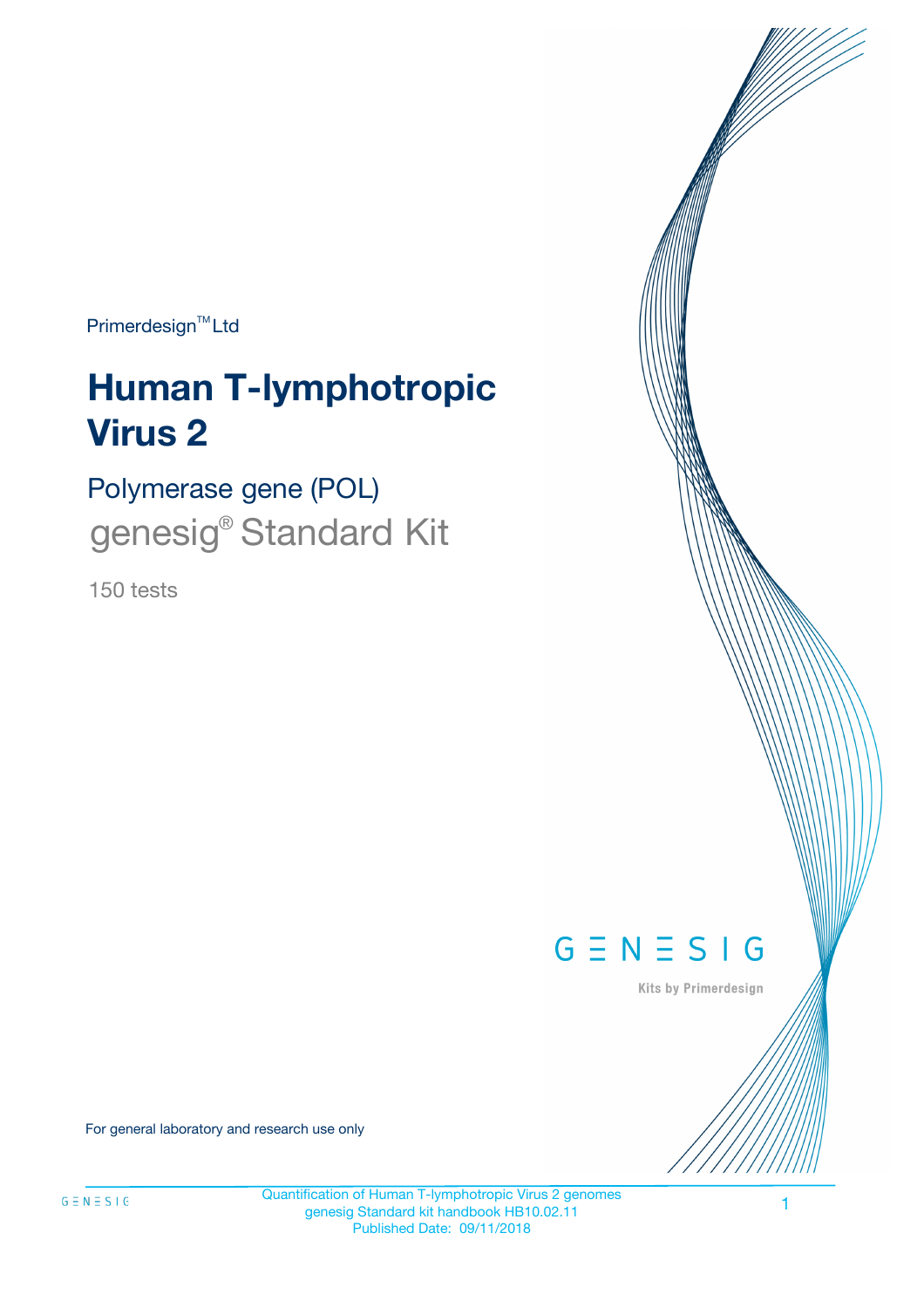Primerdesign<sup>™</sup>Ltd

# **Human T-lymphotropic Virus 2**

Polymerase gene (POL) genesig<sup>®</sup> Standard Kit

150 tests



Kits by Primerdesign

For general laboratory and research use only

Quantification of Human T-lymphotropic Virus 2 genomes genesig Standard kit handbook HB10.02.11 Published Date: 09/11/2018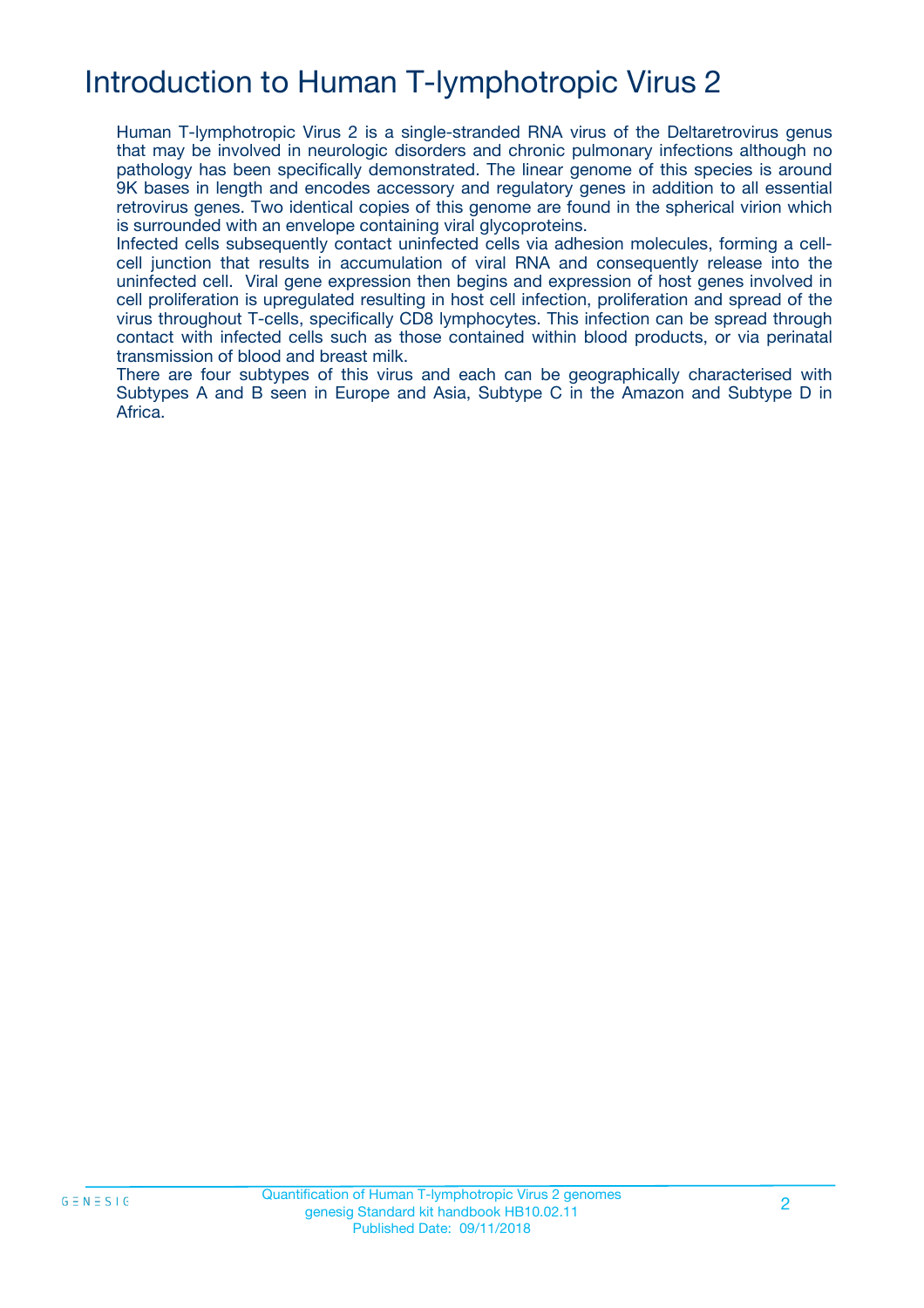# Introduction to Human T-lymphotropic Virus 2

Human T-lymphotropic Virus 2 is a single-stranded RNA virus of the Deltaretrovirus genus that may be involved in neurologic disorders and chronic pulmonary infections although no pathology has been specifically demonstrated. The linear genome of this species is around 9K bases in length and encodes accessory and regulatory genes in addition to all essential retrovirus genes. Two identical copies of this genome are found in the spherical virion which is surrounded with an envelope containing viral glycoproteins.

Infected cells subsequently contact uninfected cells via adhesion molecules, forming a cellcell junction that results in accumulation of viral RNA and consequently release into the uninfected cell. Viral gene expression then begins and expression of host genes involved in cell proliferation is upregulated resulting in host cell infection, proliferation and spread of the virus throughout T-cells, specifically CD8 lymphocytes. This infection can be spread through contact with infected cells such as those contained within blood products, or via perinatal transmission of blood and breast milk.

There are four subtypes of this virus and each can be geographically characterised with Subtypes A and B seen in Europe and Asia, Subtype C in the Amazon and Subtype D in Africa.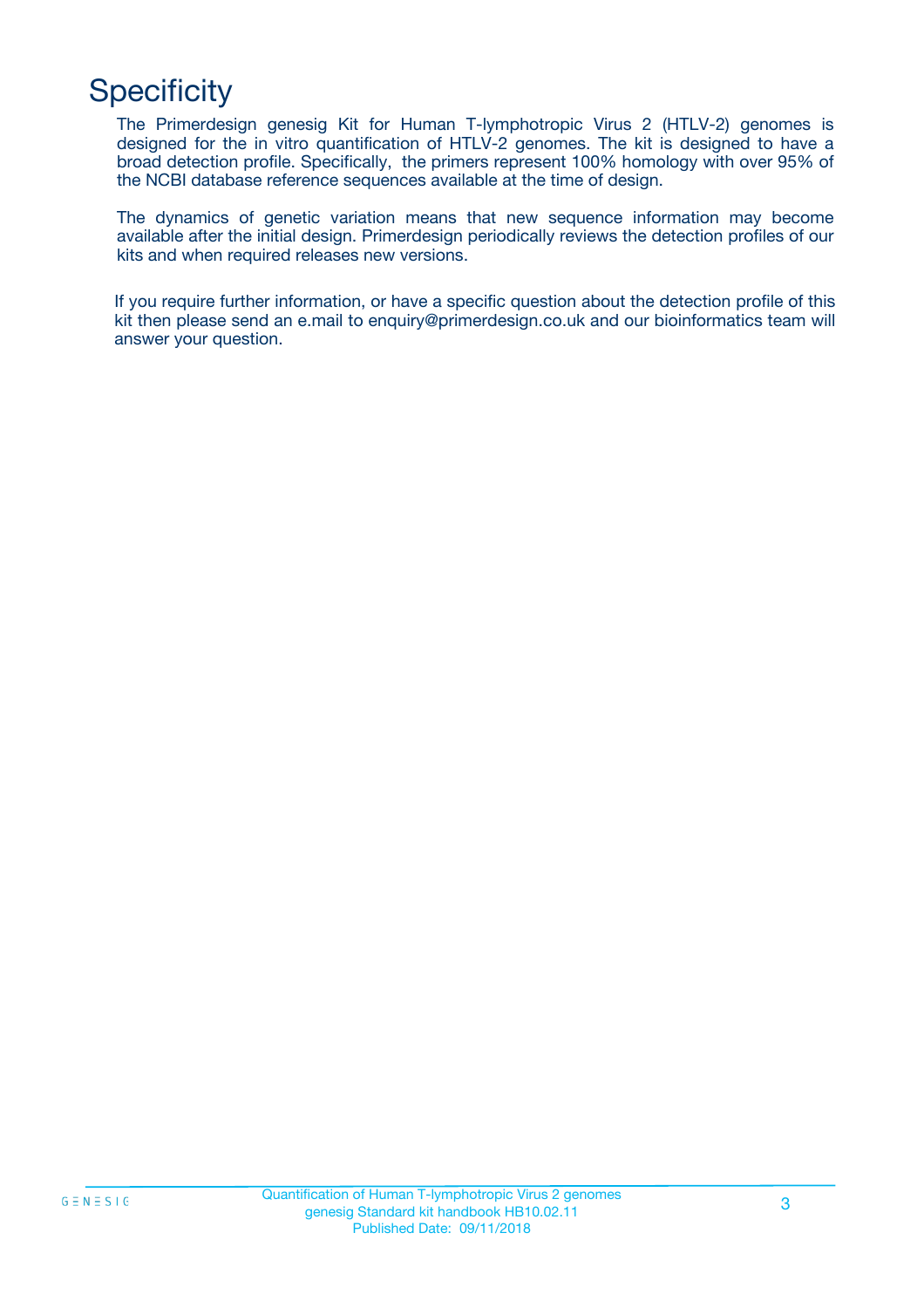# **Specificity**

The Primerdesign genesig Kit for Human T-lymphotropic Virus 2 (HTLV-2) genomes is designed for the in vitro quantification of HTLV-2 genomes. The kit is designed to have a broad detection profile. Specifically, the primers represent 100% homology with over 95% of the NCBI database reference sequences available at the time of design.

The dynamics of genetic variation means that new sequence information may become available after the initial design. Primerdesign periodically reviews the detection profiles of our kits and when required releases new versions.

If you require further information, or have a specific question about the detection profile of this kit then please send an e.mail to enquiry@primerdesign.co.uk and our bioinformatics team will answer your question.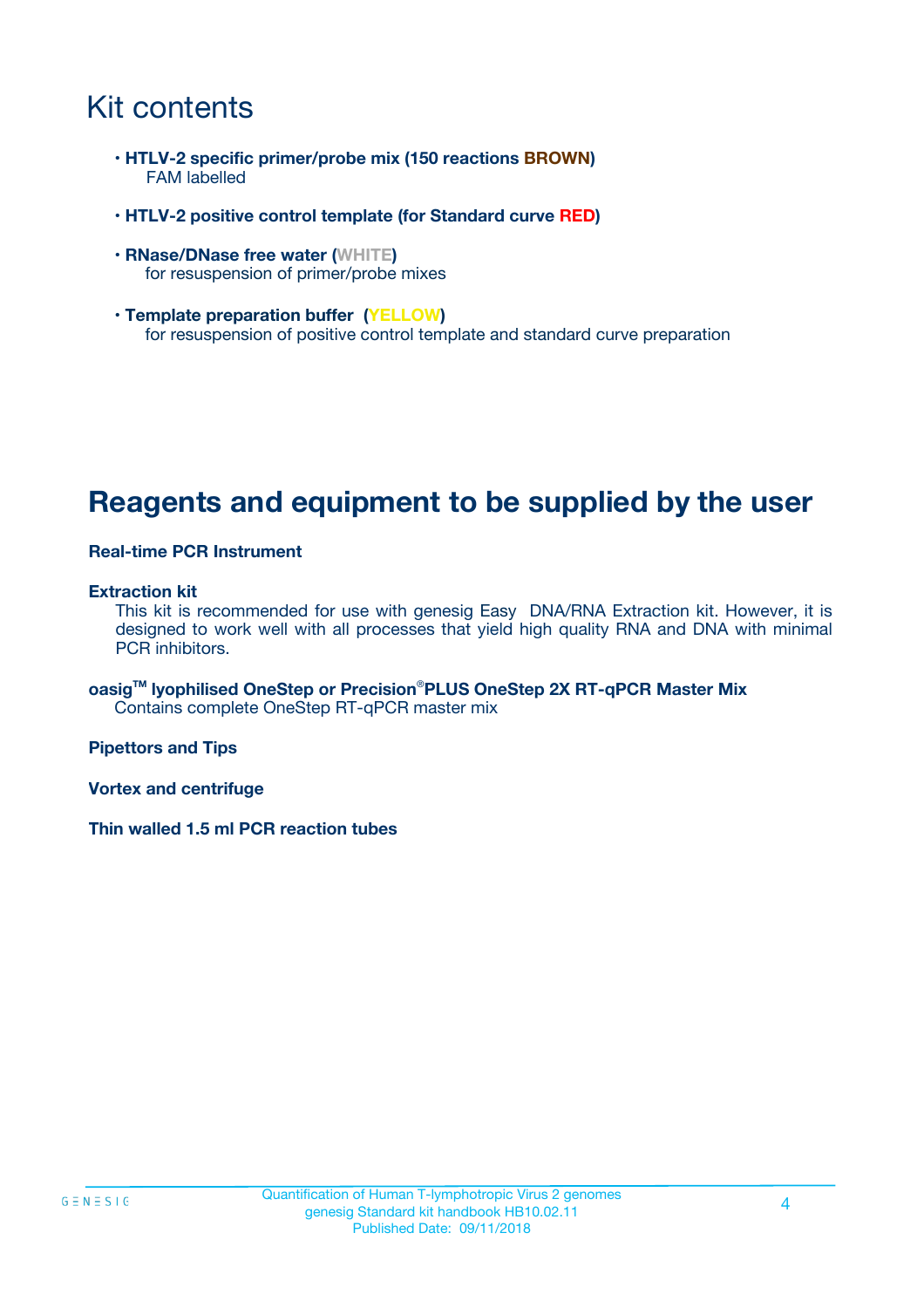### Kit contents

- **HTLV-2 specific primer/probe mix (150 reactions BROWN)** FAM labelled
- **HTLV-2 positive control template (for Standard curve RED)**
- **RNase/DNase free water (WHITE)** for resuspension of primer/probe mixes
- **Template preparation buffer (YELLOW)** for resuspension of positive control template and standard curve preparation

### **Reagents and equipment to be supplied by the user**

#### **Real-time PCR Instrument**

#### **Extraction kit**

This kit is recommended for use with genesig Easy DNA/RNA Extraction kit. However, it is designed to work well with all processes that yield high quality RNA and DNA with minimal PCR inhibitors.

**oasigTM lyophilised OneStep or Precision**®**PLUS OneStep 2X RT-qPCR Master Mix** Contains complete OneStep RT-qPCR master mix

**Pipettors and Tips**

**Vortex and centrifuge**

**Thin walled 1.5 ml PCR reaction tubes**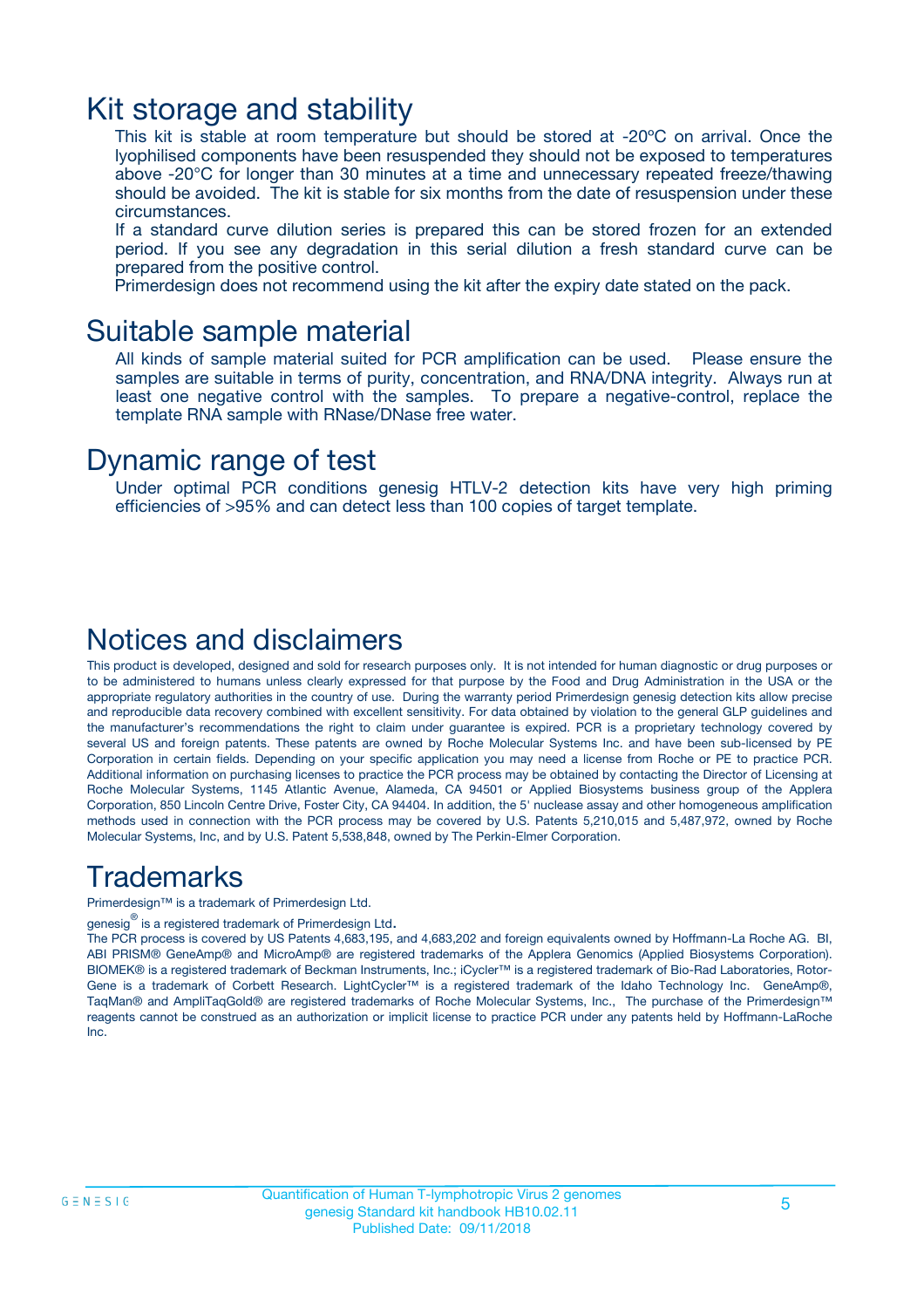### Kit storage and stability

This kit is stable at room temperature but should be stored at -20ºC on arrival. Once the lyophilised components have been resuspended they should not be exposed to temperatures above -20°C for longer than 30 minutes at a time and unnecessary repeated freeze/thawing should be avoided. The kit is stable for six months from the date of resuspension under these circumstances.

If a standard curve dilution series is prepared this can be stored frozen for an extended period. If you see any degradation in this serial dilution a fresh standard curve can be prepared from the positive control.

Primerdesign does not recommend using the kit after the expiry date stated on the pack.

### Suitable sample material

All kinds of sample material suited for PCR amplification can be used. Please ensure the samples are suitable in terms of purity, concentration, and RNA/DNA integrity. Always run at least one negative control with the samples. To prepare a negative-control, replace the template RNA sample with RNase/DNase free water.

### Dynamic range of test

Under optimal PCR conditions genesig HTLV-2 detection kits have very high priming efficiencies of >95% and can detect less than 100 copies of target template.

### Notices and disclaimers

This product is developed, designed and sold for research purposes only. It is not intended for human diagnostic or drug purposes or to be administered to humans unless clearly expressed for that purpose by the Food and Drug Administration in the USA or the appropriate regulatory authorities in the country of use. During the warranty period Primerdesign genesig detection kits allow precise and reproducible data recovery combined with excellent sensitivity. For data obtained by violation to the general GLP guidelines and the manufacturer's recommendations the right to claim under guarantee is expired. PCR is a proprietary technology covered by several US and foreign patents. These patents are owned by Roche Molecular Systems Inc. and have been sub-licensed by PE Corporation in certain fields. Depending on your specific application you may need a license from Roche or PE to practice PCR. Additional information on purchasing licenses to practice the PCR process may be obtained by contacting the Director of Licensing at Roche Molecular Systems, 1145 Atlantic Avenue, Alameda, CA 94501 or Applied Biosystems business group of the Applera Corporation, 850 Lincoln Centre Drive, Foster City, CA 94404. In addition, the 5' nuclease assay and other homogeneous amplification methods used in connection with the PCR process may be covered by U.S. Patents 5,210,015 and 5,487,972, owned by Roche Molecular Systems, Inc, and by U.S. Patent 5,538,848, owned by The Perkin-Elmer Corporation.

### Trademarks

Primerdesign™ is a trademark of Primerdesign Ltd.

genesig $^\circledR$  is a registered trademark of Primerdesign Ltd.

The PCR process is covered by US Patents 4,683,195, and 4,683,202 and foreign equivalents owned by Hoffmann-La Roche AG. BI, ABI PRISM® GeneAmp® and MicroAmp® are registered trademarks of the Applera Genomics (Applied Biosystems Corporation). BIOMEK® is a registered trademark of Beckman Instruments, Inc.; iCycler™ is a registered trademark of Bio-Rad Laboratories, Rotor-Gene is a trademark of Corbett Research. LightCycler™ is a registered trademark of the Idaho Technology Inc. GeneAmp®, TaqMan® and AmpliTaqGold® are registered trademarks of Roche Molecular Systems, Inc., The purchase of the Primerdesign™ reagents cannot be construed as an authorization or implicit license to practice PCR under any patents held by Hoffmann-LaRoche Inc.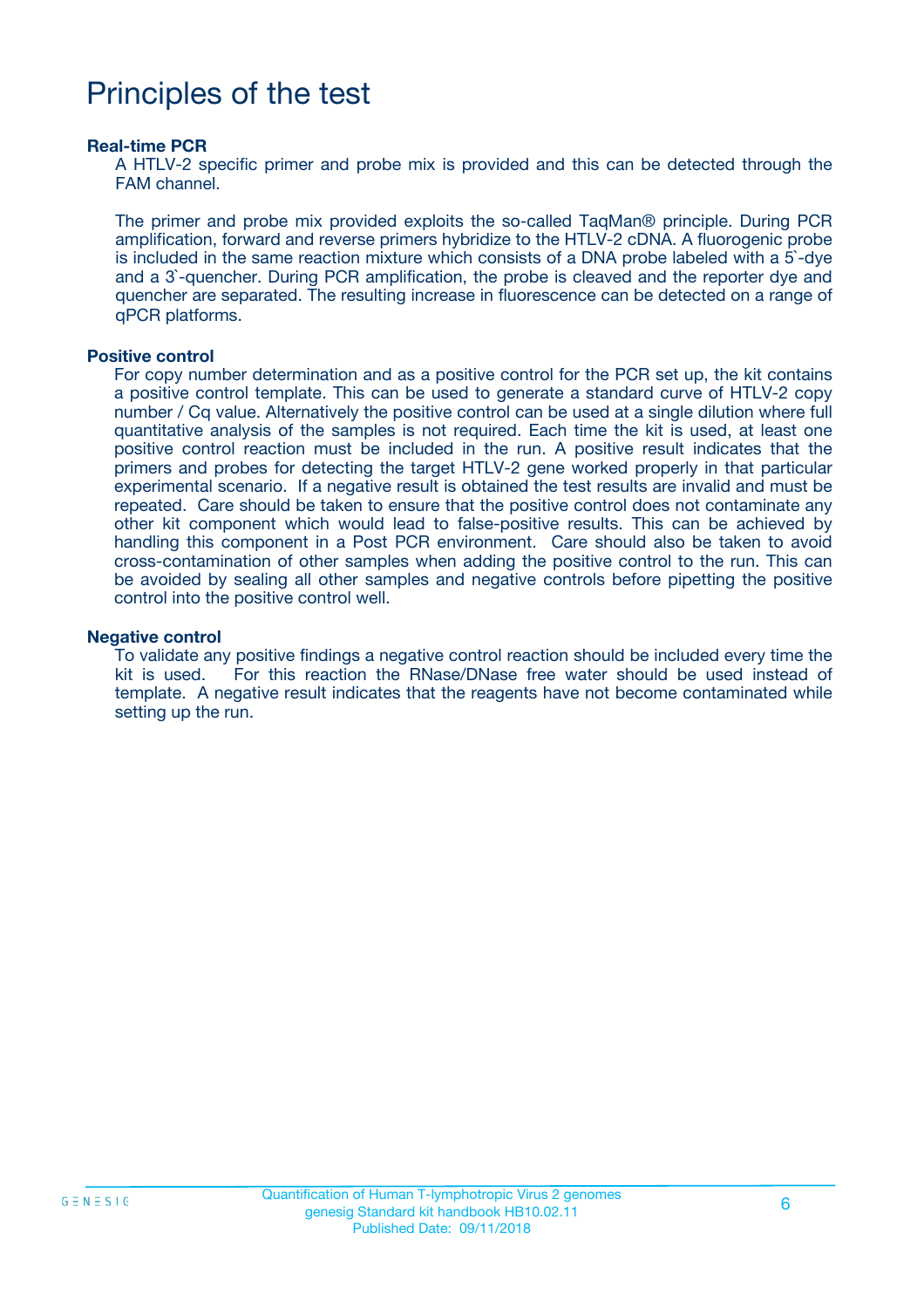### Principles of the test

#### **Real-time PCR**

A HTLV-2 specific primer and probe mix is provided and this can be detected through the FAM channel.

The primer and probe mix provided exploits the so-called TaqMan® principle. During PCR amplification, forward and reverse primers hybridize to the HTLV-2 cDNA. A fluorogenic probe is included in the same reaction mixture which consists of a DNA probe labeled with a 5`-dye and a 3`-quencher. During PCR amplification, the probe is cleaved and the reporter dye and quencher are separated. The resulting increase in fluorescence can be detected on a range of qPCR platforms.

#### **Positive control**

For copy number determination and as a positive control for the PCR set up, the kit contains a positive control template. This can be used to generate a standard curve of HTLV-2 copy number / Cq value. Alternatively the positive control can be used at a single dilution where full quantitative analysis of the samples is not required. Each time the kit is used, at least one positive control reaction must be included in the run. A positive result indicates that the primers and probes for detecting the target HTLV-2 gene worked properly in that particular experimental scenario. If a negative result is obtained the test results are invalid and must be repeated. Care should be taken to ensure that the positive control does not contaminate any other kit component which would lead to false-positive results. This can be achieved by handling this component in a Post PCR environment. Care should also be taken to avoid cross-contamination of other samples when adding the positive control to the run. This can be avoided by sealing all other samples and negative controls before pipetting the positive control into the positive control well.

#### **Negative control**

To validate any positive findings a negative control reaction should be included every time the kit is used. For this reaction the RNase/DNase free water should be used instead of template. A negative result indicates that the reagents have not become contaminated while setting up the run.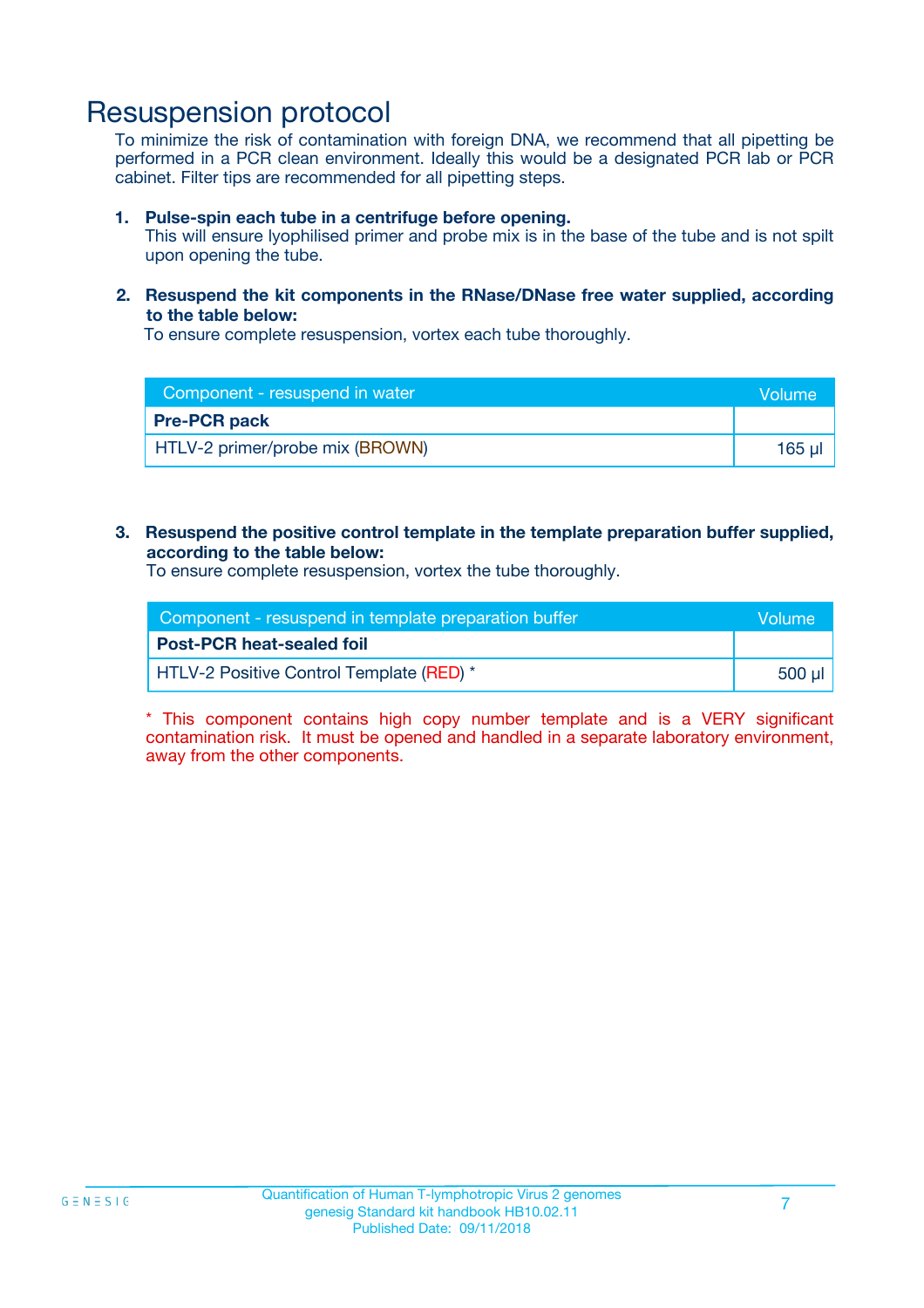### Resuspension protocol

To minimize the risk of contamination with foreign DNA, we recommend that all pipetting be performed in a PCR clean environment. Ideally this would be a designated PCR lab or PCR cabinet. Filter tips are recommended for all pipetting steps.

#### **1. Pulse-spin each tube in a centrifuge before opening.**

This will ensure lyophilised primer and probe mix is in the base of the tube and is not spilt upon opening the tube.

#### **2. Resuspend the kit components in the RNase/DNase free water supplied, according to the table below:**

To ensure complete resuspension, vortex each tube thoroughly.

| Component - resuspend in water  | <b>Volume</b> |
|---------------------------------|---------------|
| <b>Pre-PCR pack</b>             |               |
| HTLV-2 primer/probe mix (BROWN) | 165 ul        |

#### **3. Resuspend the positive control template in the template preparation buffer supplied, according to the table below:**

To ensure complete resuspension, vortex the tube thoroughly.

| Component - resuspend in template preparation buffer |         |  |
|------------------------------------------------------|---------|--|
| <b>Post-PCR heat-sealed foil</b>                     |         |  |
| <b>HTLV-2 Positive Control Template (RED)</b> *      | .500 ul |  |

\* This component contains high copy number template and is a VERY significant contamination risk. It must be opened and handled in a separate laboratory environment, away from the other components.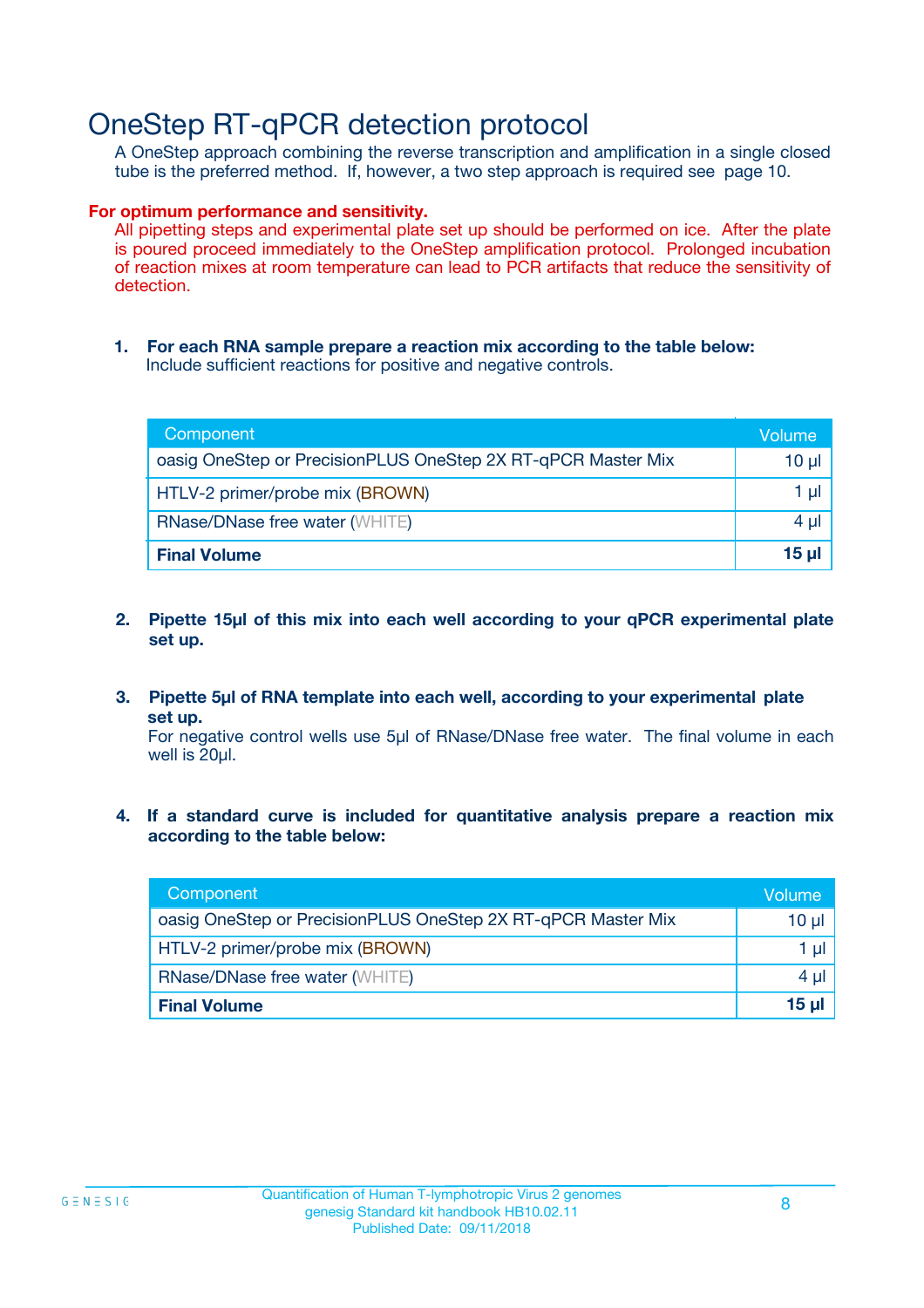### OneStep RT-qPCR detection protocol

A OneStep approach combining the reverse transcription and amplification in a single closed tube is the preferred method. If, however, a two step approach is required see page 10.

#### **For optimum performance and sensitivity.**

All pipetting steps and experimental plate set up should be performed on ice. After the plate is poured proceed immediately to the OneStep amplification protocol. Prolonged incubation of reaction mixes at room temperature can lead to PCR artifacts that reduce the sensitivity of detection.

**1. For each RNA sample prepare a reaction mix according to the table below:** Include sufficient reactions for positive and negative controls.

| Component                                                    | Volume     |
|--------------------------------------------------------------|------------|
| oasig OneStep or PrecisionPLUS OneStep 2X RT-qPCR Master Mix | $10 \mu$   |
| HTLV-2 primer/probe mix (BROWN)                              | 1 µl       |
| <b>RNase/DNase free water (WHITE)</b>                        | $4 \mu$    |
| <b>Final Volume</b>                                          | $15$ $\mu$ |

- **2. Pipette 15µl of this mix into each well according to your qPCR experimental plate set up.**
- **3. Pipette 5µl of RNA template into each well, according to your experimental plate set up.**

For negative control wells use 5µl of RNase/DNase free water. The final volume in each well is 20ul.

**4. If a standard curve is included for quantitative analysis prepare a reaction mix according to the table below:**

| Component                                                    | Volume   |
|--------------------------------------------------------------|----------|
| oasig OneStep or PrecisionPLUS OneStep 2X RT-qPCR Master Mix | 10 µl    |
| HTLV-2 primer/probe mix (BROWN)                              | 1 ul     |
| <b>RNase/DNase free water (WHITE)</b>                        | $4 \mu$  |
| <b>Final Volume</b>                                          | $15 \mu$ |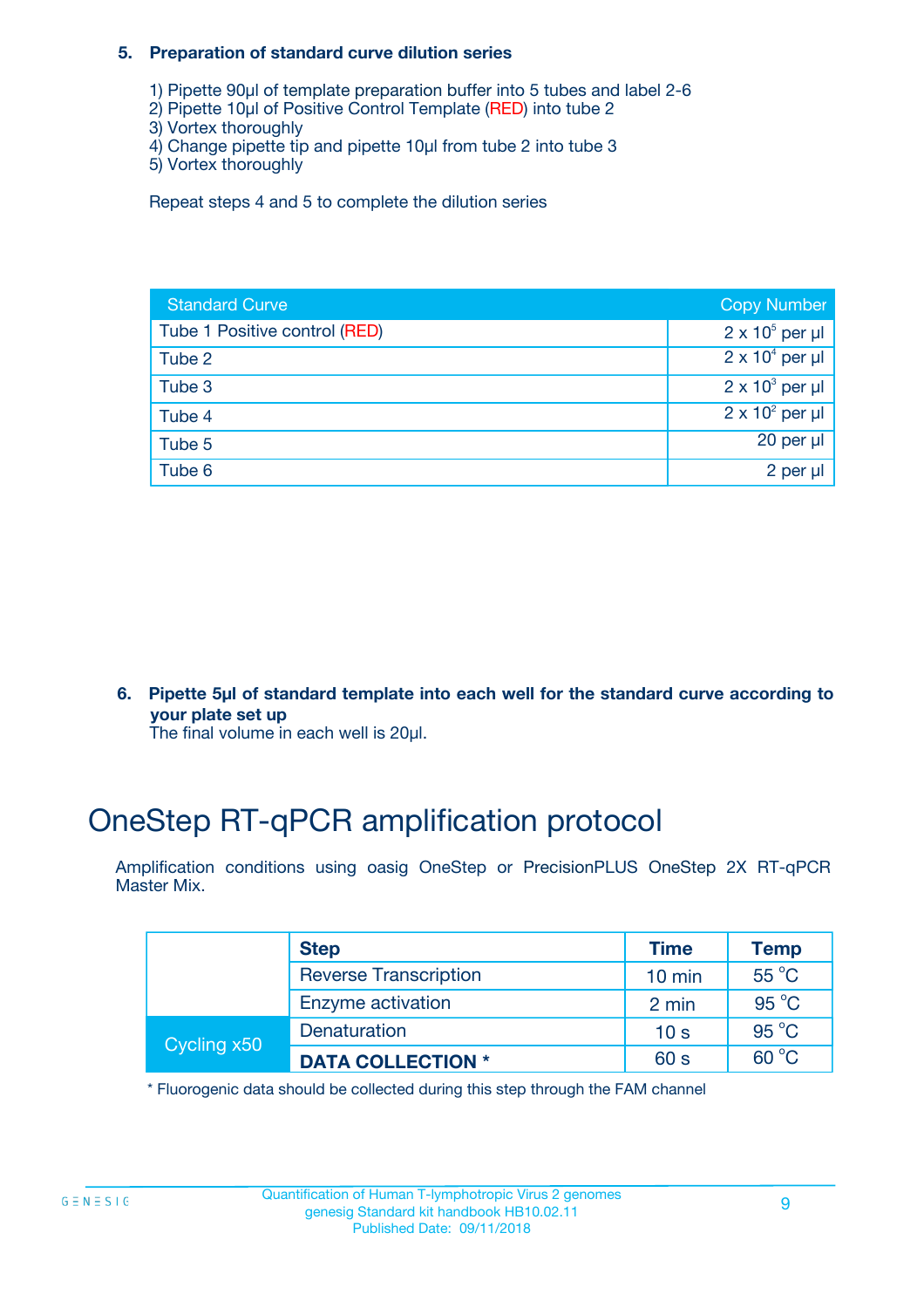#### **5. Preparation of standard curve dilution series**

- 1) Pipette 90µl of template preparation buffer into 5 tubes and label 2-6
- 2) Pipette 10µl of Positive Control Template (RED) into tube 2
- 3) Vortex thoroughly
- 4) Change pipette tip and pipette 10µl from tube 2 into tube 3
- 5) Vortex thoroughly

Repeat steps 4 and 5 to complete the dilution series

| <b>Standard Curve</b>         | <b>Copy Number</b>     |
|-------------------------------|------------------------|
| Tube 1 Positive control (RED) | $2 \times 10^5$ per µl |
| Tube 2                        | $2 \times 10^4$ per µl |
| Tube 3                        | $2 \times 10^3$ per µl |
| Tube 4                        | $2 \times 10^2$ per µl |
| Tube 5                        | 20 per $\mu$           |
| Tube 6                        | 2 per µl               |

**6. Pipette 5µl of standard template into each well for the standard curve according to your plate set up**

The final volume in each well is 20ul.

# OneStep RT-qPCR amplification protocol

Amplification conditions using oasig OneStep or PrecisionPLUS OneStep 2X RT-qPCR Master Mix.

|             | <b>Step</b>                  | <b>Time</b>      | <b>Temp</b>    |
|-------------|------------------------------|------------------|----------------|
|             | <b>Reverse Transcription</b> | $10 \text{ min}$ | $55^{\circ}$ C |
|             | Enzyme activation            | 2 min            | $95^{\circ}$ C |
| Cycling x50 | Denaturation                 | 10 <sub>s</sub>  | $95^{\circ}$ C |
|             | <b>DATA COLLECTION *</b>     | 60 s             | $60^{\circ}$ C |

\* Fluorogenic data should be collected during this step through the FAM channel